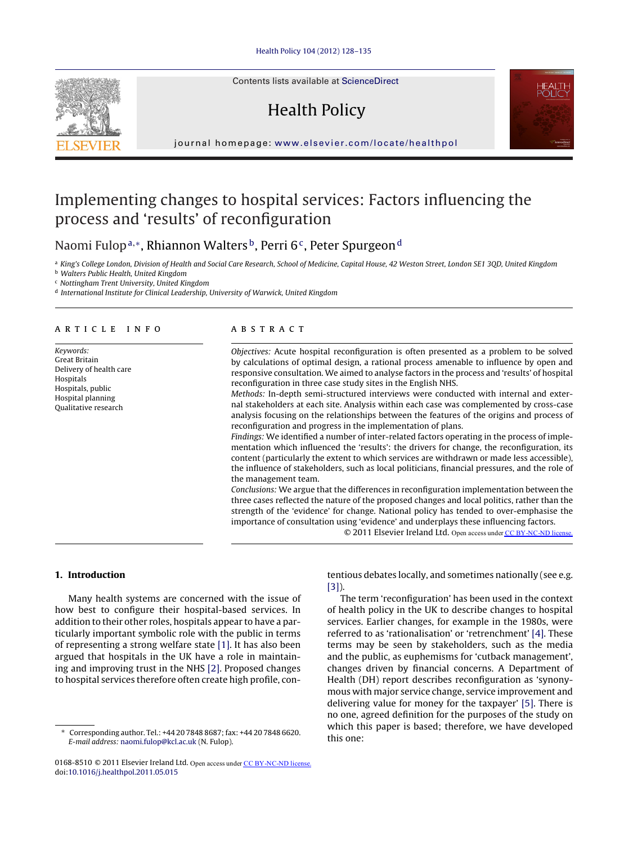Contents lists available at [ScienceDirect](http://www.sciencedirect.com/science/journal/01688510)

# Health Policy



journal homepage: [www.elsevier.com/locate/healthpol](http://www.elsevier.com/locate/healthpol)

## Implementing changes to hospital services: Factors influencing the process and 'results' of reconfiguration

## Naomi Fulop<sup>a,∗</sup>, Rhiannon Walters<sup>b</sup>, Perri 6<sup>c</sup>, Peter Spurgeon<sup>d</sup>

a King's College London, Division of Health and Social Care Research, School of Medicine, Capital House, 42 Weston Street, London SE1 3QD, United Kingdom

<sup>b</sup> Walters Public Health, United Kingdom

<sup>c</sup> Nottingham Trent University, United Kingdom

<sup>d</sup> International Institute for Clinical Leadership, University of Warwick, United Kingdom

#### a r t i c l e i n f o

Keywords: Great Britain Delivery of health care **Hospitals** Hospitals, public Hospital planning Qualitative research

#### A B S T R A C T

Objectives: Acute hospital reconfiguration is often presented as a problem to be solved by calculations of optimal design, a rational process amenable to influence by open and responsive consultation. We aimed to analyse factors in the process and 'results' of hospital reconfiguration in three case study sites in the English NHS.

Methods: In-depth semi-structured interviews were conducted with internal and external stakeholders at each site. Analysis within each case was complemented by cross-case analysis focusing on the relationships between the features of the origins and process of reconfiguration and progress in the implementation of plans.

Findings: We identified a number of inter-related factors operating in the process of implementation which influenced the 'results': the drivers for change, the reconfiguration, its content (particularly the extent to which services are withdrawn or made less accessible), the influence of stakeholders, such as local politicians, financial pressures, and the role of the management team.

Conclusions: We argue that the differences in reconfiguration implementation between the three cases reflected the nature of the proposed changes and local politics, rather than the strength of the 'evidence' for change. National policy has tended to over-emphasise the importance of consultation using 'evidence' and underplays these influencing factors.

© 2011 Elsevier Ireland Ltd. Open access under [CC BY-NC-ND license.](http://creativecommons.org/licenses/by-nc-nd/3.0/)

## **1. Introduction**

Many health systems are concerned with the issue of how best to configure their hospital-based services. In addition to their other roles, hospitals appear to have a particularly important symbolic role with the public in terms of representing a strong welfare state [\[1\].](#page-6-0) It has also been argued that hospitals in the UK have a role in maintaining and improving trust in the NHS [\[2\].](#page-6-0) Proposed changes to hospital services therefore often create high profile, con-

0168-8510 © 2011 Elsevier Ireland Ltd. Open access under [CC BY-NC-ND license.](http://creativecommons.org/licenses/by-nc-nd/3.0/) doi:[10.1016/j.healthpol.2011.05.015](dx.doi.org/10.1016/j.healthpol.2011.05.015)

tentious debates locally, and sometimes nationally (see e.g. [\[3\]\).](#page-6-0)

The term 'reconfiguration' has been used in the context of health policy in the UK to describe changes to hospital services. Earlier changes, for example in the 1980s, were referred to as 'rationalisation' or 'retrenchment' [\[4\].](#page-6-0) These terms may be seen by stakeholders, such as the media and the public, as euphemisms for 'cutback management', changes driven by financial concerns. A Department of Health (DH) report describes reconfiguration as 'synonymous with major service change, service improvement and delivering value for money for the taxpayer' [\[5\].](#page-6-0) There is no one, agreed definition for the purposes of the study on which this paper is based; therefore, we have developed this one:



<sup>∗</sup> Corresponding author. Tel.: +44 20 7848 8687; fax: +44 20 7848 6620. E-mail address: [naomi.fulop@kcl.ac.uk](mailto:naomi.fulop@kcl.ac.uk) (N. Fulop).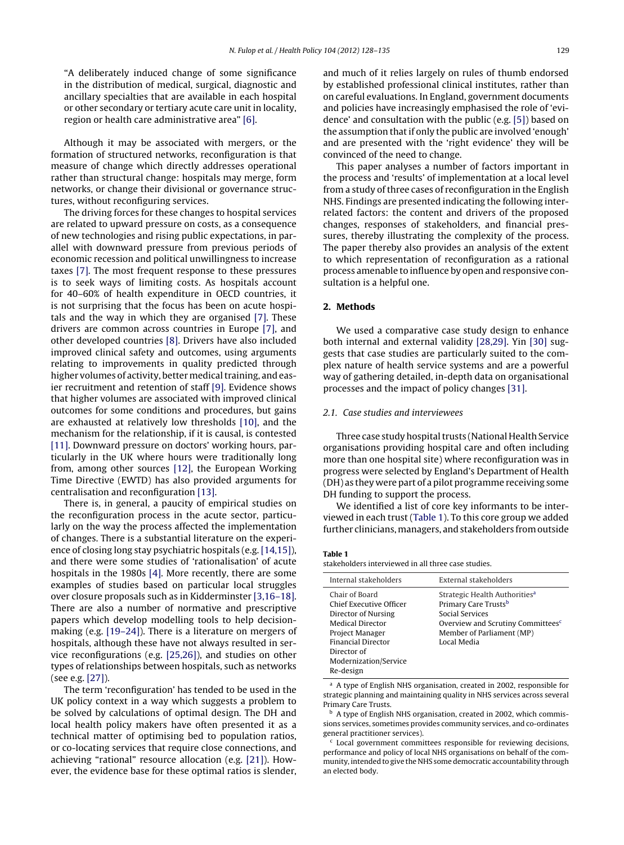<span id="page-1-0"></span>"A deliberately induced change of some significance in the distribution of medical, surgical, diagnostic and ancillary specialties that are available in each hospital or other secondary or tertiary acute care unit in locality, region or health care administrative area" [\[6\].](#page-6-0)

Although it may be associated with mergers, or the formation of structured networks, reconfiguration is that measure of change which directly addresses operational rather than structural change: hospitals may merge, form networks, or change their divisional or governance structures, without reconfiguring services.

The driving forces for these changes to hospital services are related to upward pressure on costs, as a consequence of new technologies and rising public expectations, in parallel with downward pressure from previous periods of economic recession and political unwillingness to increase taxes [\[7\].](#page-7-0) The most frequent response to these pressures is to seek ways of limiting costs. As hospitals account for 40–60% of health expenditure in OECD countries, it is not surprising that the focus has been on acute hospitals and the way in which they are organised [\[7\].](#page-7-0) These drivers are common across countries in Europe [\[7\],](#page-7-0) and other developed countries [\[8\].](#page-7-0) Drivers have also included improved clinical safety and outcomes, using arguments relating to improvements in quality predicted through higher volumes of activity, better medical training, and easier recruitment and retention of staff [\[9\].](#page-7-0) Evidence shows that higher volumes are associated with improved clinical outcomes for some conditions and procedures, but gains are exhausted at relatively low thresholds [\[10\],](#page-7-0) and the mechanism for the relationship, if it is causal, is contested [\[11\].](#page-7-0) Downward pressure on doctors' working hours, particularly in the UK where hours were traditionally long from, among other sources [\[12\],](#page-7-0) the European Working Time Directive (EWTD) has also provided arguments for centralisation and reconfiguration [\[13\].](#page-7-0)

There is, in general, a paucity of empirical studies on the reconfiguration process in the acute sector, particularly on the way the process affected the implementation of changes. There is a substantial literature on the experience of closing long stay psychiatric hospitals (e.g. [\[14,15\]\),](#page-7-0) and there were some studies of 'rationalisation' of acute hospitals in the 1980s [\[4\].](#page-6-0) More recently, there are some examples of studies based on particular local struggles over closure proposals such as in Kidderminster [\[3,16–18\].](#page-6-0) There are also a number of normative and prescriptive papers which develop modelling tools to help decisionmaking (e.g. [\[19–24\]\).](#page-7-0) There is a literature on mergers of hospitals, although these have not always resulted in service reconfigurations (e.g. [\[25,26\]\),](#page-7-0) and studies on other types of relationships between hospitals, such as networks (see e.g. [\[27\]\).](#page-7-0)

The term 'reconfiguration' has tended to be used in the UK policy context in a way which suggests a problem to be solved by calculations of optimal design. The DH and local health policy makers have often presented it as a technical matter of optimising bed to population ratios, or co-locating services that require close connections, and achieving "rational" resource allocation (e.g. [\[21\]\).](#page-7-0) However, the evidence base for these optimal ratios is slender, and much of it relies largely on rules of thumb endorsed by established professional clinical institutes, rather than on careful evaluations. In England, government documents and policies have increasingly emphasised the role of 'evidence' and consultation with the public (e.g. [\[5\]\)](#page-6-0) based on the assumption that if only the public are involved 'enough' and are presented with the 'right evidence' they will be convinced of the need to change.

This paper analyses a number of factors important in the process and 'results' of implementation at a local level from a study of three cases of reconfiguration in the English NHS. Findings are presented indicating the following interrelated factors: the content and drivers of the proposed changes, responses of stakeholders, and financial pressures, thereby illustrating the complexity of the process. The paper thereby also provides an analysis of the extent to which representation of reconfiguration as a rational process amenable to influence by open and responsive consultation is a helpful one.

## **2. Methods**

We used a comparative case study design to enhance both internal and external validity [\[28,29\].](#page-7-0) Yin [\[30\]](#page-7-0) suggests that case studies are particularly suited to the complex nature of health service systems and are a powerful way of gathering detailed, in-depth data on organisational processes and the impact of policy changes [\[31\].](#page-7-0)

## 2.1. Case studies and interviewees

Three case study hospital trusts (National Health Service organisations providing hospital care and often including more than one hospital site) where reconfiguration was in progress were selected by England's Department of Health (DH) as they were part of a pilot programme receiving some DH funding to support the process.

We identified a list of core key informants to be interviewed in each trust (Table 1). To this core group we added further clinicians, managers, and stakeholders from outside

**Table 1** stakeholders interviewed in all three case studies.

| Internal stakeholders                                                                                                                                                                            | External stakeholders                                                                                                                                                                         |
|--------------------------------------------------------------------------------------------------------------------------------------------------------------------------------------------------|-----------------------------------------------------------------------------------------------------------------------------------------------------------------------------------------------|
| Chair of Board<br>Chief Executive Officer<br>Director of Nursing<br><b>Medical Director</b><br>Project Manager<br><b>Financial Director</b><br>Director of<br>Modernization/Service<br>Re-design | Strategic Health Authorities <sup>a</sup><br>Primary Care Trusts <sup>b</sup><br>Social Services<br>Overview and Scrutiny Committees <sup>c</sup><br>Member of Parliament (MP)<br>Local Media |
|                                                                                                                                                                                                  |                                                                                                                                                                                               |

<sup>a</sup> A type of English NHS organisation, created in 2002, responsible for strategic planning and maintaining quality in NHS services across several Primary Care Trusts.

<sup>b</sup> A type of English NHS organisation, created in 2002, which commissions services, sometimes provides community services, and co-ordinates general practitioner services).

<sup>c</sup> Local government committees responsible for reviewing decisions, performance and policy of local NHS organisations on behalf of the community, intended to give the NHS some democratic accountability through an elected body.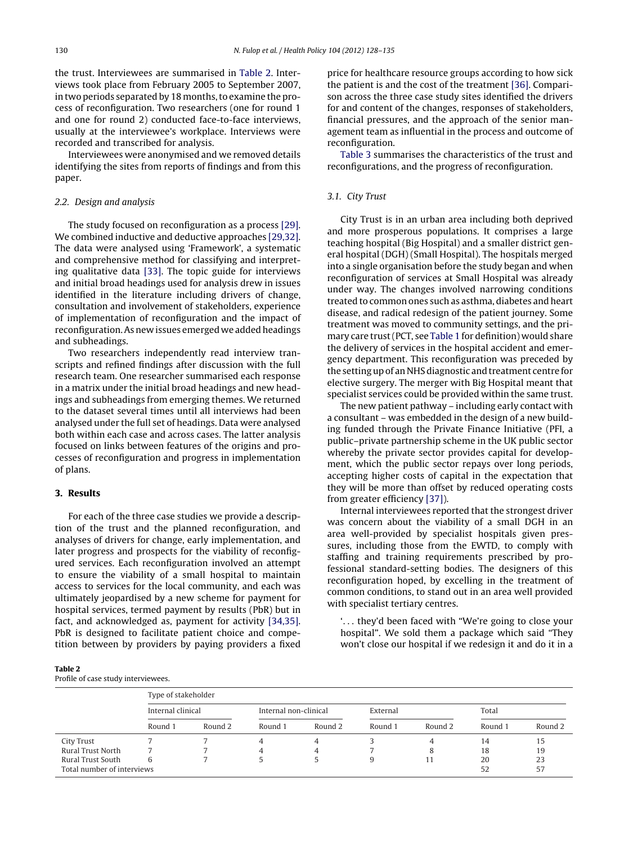the trust. Interviewees are summarised in Table 2. Interviews took place from February 2005 to September 2007, in two periods separated by 18 months, to examine the process of reconfiguration. Two researchers (one for round 1 and one for round 2) conducted face-to-face interviews, usually at the interviewee's workplace. Interviews were recorded and transcribed for analysis.

Interviewees were anonymised and we removed details identifying the sites from reports of findings and from this paper.

## 2.2. Design and analysis

The study focused on reconfiguration as a process [\[29\].](#page-7-0) We combined inductive and deductive approaches [\[29,32\].](#page-7-0) The data were analysed using 'Framework', a systematic and comprehensive method for classifying and interpreting qualitative data [\[33\].](#page-7-0) The topic guide for interviews and initial broad headings used for analysis drew in issues identified in the literature including drivers of change, consultation and involvement of stakeholders, experience of implementation of reconfiguration and the impact of reconfiguration. As new issues emerged we added headings and subheadings.

Two researchers independently read interview transcripts and refined findings after discussion with the full research team. One researcher summarised each response in a matrix under the initial broad headings and new headings and subheadings from emerging themes. We returned to the dataset several times until all interviews had been analysed under the full set of headings. Data were analysed both within each case and across cases. The latter analysis focused on links between features of the origins and processes of reconfiguration and progress in implementation of plans.

### **3. Results**

For each of the three case studies we provide a description of the trust and the planned reconfiguration, and analyses of drivers for change, early implementation, and later progress and prospects for the viability of reconfigured services. Each reconfiguration involved an attempt to ensure the viability of a small hospital to maintain access to services for the local community, and each was ultimately jeopardised by a new scheme for payment for hospital services, termed payment by results (PbR) but in fact, and acknowledged as, payment for activity [\[34,35\].](#page-7-0) PbR is designed to facilitate patient choice and competition between by providers by paying providers a fixed

price for healthcare resource groups according to how sick the patient is and the cost of the treatment [\[36\].](#page-7-0) Comparison across the three case study sites identified the drivers for and content of the changes, responses of stakeholders, financial pressures, and the approach of the senior management team as influential in the process and outcome of reconfiguration.

[Table](#page-3-0) 3 summarises the characteristics of the trust and reconfigurations, and the progress of reconfiguration.

## 3.1. City Trust

City Trust is in an urban area including both deprived and more prosperous populations. It comprises a large teaching hospital (Big Hospital) and a smaller district general hospital (DGH) (Small Hospital). The hospitals merged into a single organisation before the study began and when reconfiguration of services at Small Hospital was already under way. The changes involved narrowing conditions treated to common ones such as asthma, diabetes and heart disease, and radical redesign of the patient journey. Some treatment was moved to community settings, and the primary care trust(PCT, see [Table](#page-1-0) 1 for definition) would share the delivery of services in the hospital accident and emergency department. This reconfiguration was preceded by the setting up of an NHS diagnostic and treatment centre for elective surgery. The merger with Big Hospital meant that specialist services could be provided within the same trust.

The new patient pathway – including early contact with a consultant – was embedded in the design of a new building funded through the Private Finance Initiative (PFI, a public–private partnership scheme in the UK public sector whereby the private sector provides capital for development, which the public sector repays over long periods, accepting higher costs of capital in the expectation that they will be more than offset by reduced operating costs from greater efficiency [\[37\]\).](#page-7-0)

Internal interviewees reported that the strongest driver was concern about the viability of a small DGH in an area well-provided by specialist hospitals given pressures, including those from the EWTD, to comply with staffing and training requirements prescribed by professional standard-setting bodies. The designers of this reconfiguration hoped, by excelling in the treatment of common conditions, to stand out in an area well provided with specialist tertiary centres.

'. . . they'd been faced with "We're going to close your hospital". We sold them a package which said "They won't close our hospital if we redesign it and do it in a

**Table 2** Profile of case study interviewees.

|                            | Type of stakeholder |         |                       |         |          |         |         |         |
|----------------------------|---------------------|---------|-----------------------|---------|----------|---------|---------|---------|
|                            | Internal clinical   |         | Internal non-clinical |         | External |         | Total   |         |
|                            | Round 1             | Round 2 | Round 1               | Round 2 | Round 1  | Round 2 | Round 1 | Round 2 |
| City Trust                 |                     |         |                       | 4       |          | 4       | 14      | 15      |
| <b>Rural Trust North</b>   |                     |         |                       | 4       |          | 8       | 18      | 19      |
| Rural Trust South          |                     |         |                       |         | Q        | 11      | 20      | 23      |
| Total number of interviews |                     |         |                       |         |          |         | 52      | 57      |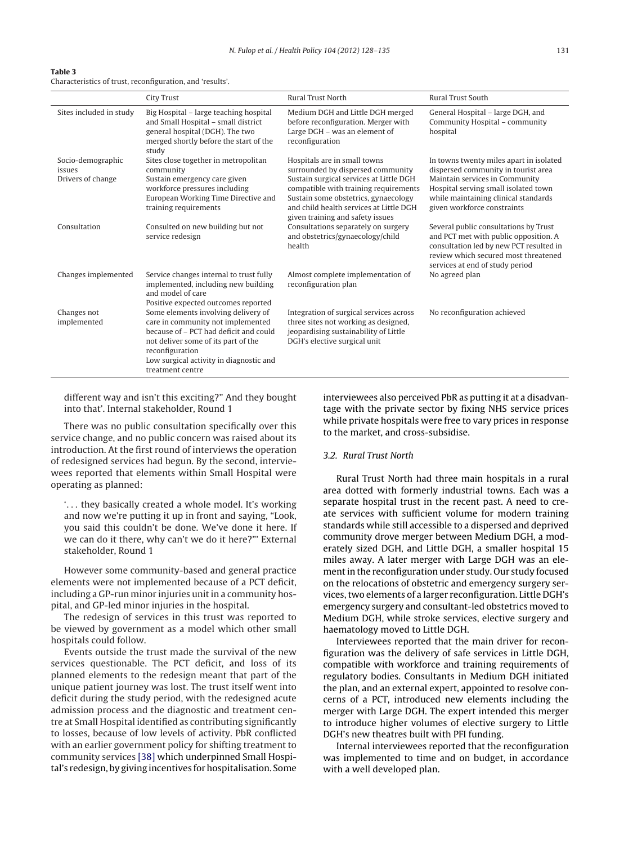<span id="page-3-0"></span>

| Table 3    |  |  |  |
|------------|--|--|--|
| <b>ALC</b> |  |  |  |

Characteristics of trust, reconfiguration, and 'results'.

|                             | City Trust                                                                                                                                                                                                                                  | <b>Rural Trust North</b>                                                                                                                                                                                | <b>Rural Trust South</b>                                                                                                                                                                             |
|-----------------------------|---------------------------------------------------------------------------------------------------------------------------------------------------------------------------------------------------------------------------------------------|---------------------------------------------------------------------------------------------------------------------------------------------------------------------------------------------------------|------------------------------------------------------------------------------------------------------------------------------------------------------------------------------------------------------|
| Sites included in study     | Big Hospital – large teaching hospital<br>and Small Hospital - small district<br>general hospital (DGH). The two<br>merged shortly before the start of the<br>study                                                                         | Medium DGH and Little DGH merged<br>before reconfiguration. Merger with<br>Large DGH - was an element of<br>reconfiguration                                                                             | General Hospital - large DGH, and<br>Community Hospital - community<br>hospital                                                                                                                      |
| Socio-demographic<br>issues | Sites close together in metropolitan<br>community                                                                                                                                                                                           | Hospitals are in small towns<br>surrounded by dispersed community                                                                                                                                       | In towns twenty miles apart in isolated<br>dispersed community in tourist area                                                                                                                       |
| Drivers of change           | Sustain emergency care given<br>workforce pressures including<br>European Working Time Directive and<br>training requirements                                                                                                               | Sustain surgical services at Little DGH<br>compatible with training requirements<br>Sustain some obstetrics, gynaecology<br>and child health services at Little DGH<br>given training and safety issues | Maintain services in Community<br>Hospital serving small isolated town<br>while maintaining clinical standards<br>given workforce constraints                                                        |
| Consultation                | Consulted on new building but not<br>service redesign                                                                                                                                                                                       | Consultations separately on surgery<br>and obstetrics/gynaecology/child<br>health                                                                                                                       | Several public consultations by Trust<br>and PCT met with public opposition. A<br>consultation led by new PCT resulted in<br>review which secured most threatened<br>services at end of study period |
| Changes implemented         | Service changes internal to trust fully<br>implemented, including new building<br>and model of care<br>Positive expected outcomes reported                                                                                                  | Almost complete implementation of<br>reconfiguration plan                                                                                                                                               | No agreed plan                                                                                                                                                                                       |
| Changes not<br>implemented  | Some elements involving delivery of<br>care in community not implemented<br>because of - PCT had deficit and could<br>not deliver some of its part of the<br>reconfiguration<br>Low surgical activity in diagnostic and<br>treatment centre | Integration of surgical services across<br>three sites not working as designed,<br>jeopardising sustainability of Little<br>DGH's elective surgical unit                                                | No reconfiguration achieved                                                                                                                                                                          |

different way and isn't this exciting?" And they bought into that'. Internal stakeholder, Round 1

There was no public consultation specifically over this service change, and no public concern was raised about its introduction. At the first round of interviews the operation of redesigned services had begun. By the second, interviewees reported that elements within Small Hospital were operating as planned:

'. . . they basically created a whole model. It's working and now we're putting it up in front and saying, "Look, you said this couldn't be done. We've done it here. If we can do it there, why can't we do it here?"' External stakeholder, Round 1

However some community-based and general practice elements were not implemented because of a PCT deficit, including a GP-run minor injuries unit in a community hospital, and GP-led minor injuries in the hospital.

The redesign of services in this trust was reported to be viewed by government as a model which other small hospitals could follow.

Events outside the trust made the survival of the new services questionable. The PCT deficit, and loss of its planned elements to the redesign meant that part of the unique patient journey was lost. The trust itself went into deficit during the study period, with the redesigned acute admission process and the diagnostic and treatment centre at Small Hospital identified as contributing significantly to losses, because of low levels of activity. PbR conflicted with an earlier government policy for shifting treatment to community services [\[38\]](#page-7-0) which underpinned Small Hospital's redesign, by giving incentives forhospitalisation. Some

interviewees also perceived PbR as putting it at a disadvantage with the private sector by fixing NHS service prices while private hospitals were free to vary prices in response to the market, and cross-subsidise.

## 3.2. Rural Trust North

Rural Trust North had three main hospitals in a rural area dotted with formerly industrial towns. Each was a separate hospital trust in the recent past. A need to create services with sufficient volume for modern training standards while still accessible to a dispersed and deprived community drove merger between Medium DGH, a moderately sized DGH, and Little DGH, a smaller hospital 15 miles away. A later merger with Large DGH was an elementin the reconfiguration under study. Our study focused on the relocations of obstetric and emergency surgery services,two elements of a larger reconfiguration. Little DGH's emergency surgery and consultant-led obstetrics moved to Medium DGH, while stroke services, elective surgery and haematology moved to Little DGH.

Interviewees reported that the main driver for reconfiguration was the delivery of safe services in Little DGH, compatible with workforce and training requirements of regulatory bodies. Consultants in Medium DGH initiated the plan, and an external expert, appointed to resolve concerns of a PCT, introduced new elements including the merger with Large DGH. The expert intended this merger to introduce higher volumes of elective surgery to Little DGH's new theatres built with PFI funding.

Internal interviewees reported that the reconfiguration was implemented to time and on budget, in accordance with a well developed plan.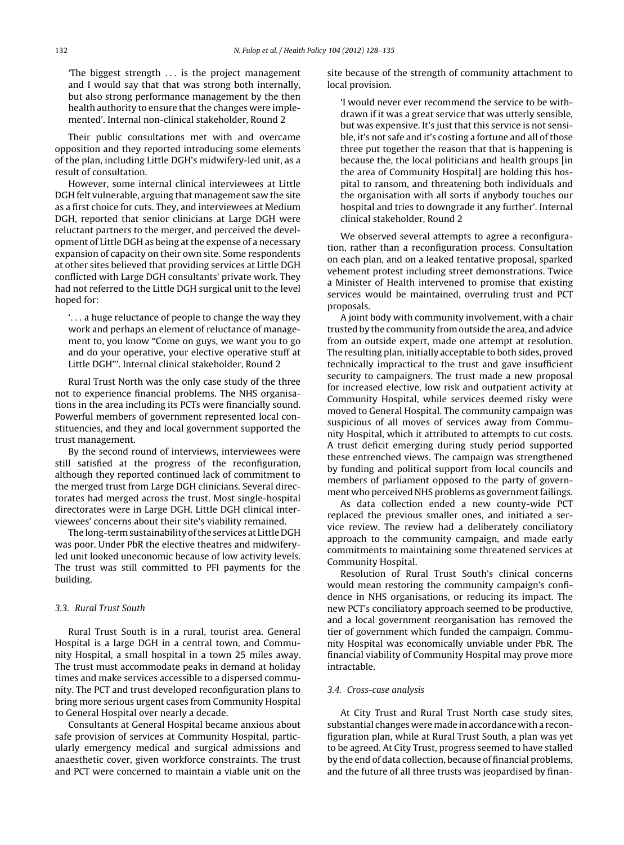'The biggest strength . . . is the project management and I would say that that was strong both internally, but also strong performance management by the then health authority to ensure that the changes were implemented'. Internal non-clinical stakeholder, Round 2

Their public consultations met with and overcame opposition and they reported introducing some elements of the plan, including Little DGH's midwifery-led unit, as a result of consultation.

However, some internal clinical interviewees at Little DGH felt vulnerable, arguing that management saw the site as a first choice for cuts. They, and interviewees at Medium DGH, reported that senior clinicians at Large DGH were reluctant partners to the merger, and perceived the development of Little DGH as being atthe expense of a necessary expansion of capacity on their own site. Some respondents at other sites believed that providing services at Little DGH conflicted with Large DGH consultants' private work. They had not referred to the Little DGH surgical unit to the level hoped for:

'. . . a huge reluctance of people to change the way they work and perhaps an element of reluctance of management to, you know "Come on guys, we want you to go and do your operative, your elective operative stuff at Little DGH"'. Internal clinical stakeholder, Round 2

Rural Trust North was the only case study of the three not to experience financial problems. The NHS organisations in the area including its PCTs were financially sound. Powerful members of government represented local constituencies, and they and local government supported the trust management.

By the second round of interviews, interviewees were still satisfied at the progress of the reconfiguration, although they reported continued lack of commitment to the merged trust from Large DGH clinicians. Several directorates had merged across the trust. Most single-hospital directorates were in Large DGH. Little DGH clinical interviewees' concerns about their site's viability remained.

The long-term sustainability of the services at Little DGH was poor. Under PbR the elective theatres and midwiferyled unit looked uneconomic because of low activity levels. The trust was still committed to PFI payments for the building.

## 3.3. Rural Trust South

Rural Trust South is in a rural, tourist area. General Hospital is a large DGH in a central town, and Community Hospital, a small hospital in a town 25 miles away. The trust must accommodate peaks in demand at holiday times and make services accessible to a dispersed community. The PCT and trust developed reconfiguration plans to bring more serious urgent cases from Community Hospital to General Hospital over nearly a decade.

Consultants at General Hospital became anxious about safe provision of services at Community Hospital, particularly emergency medical and surgical admissions and anaesthetic cover, given workforce constraints. The trust and PCT were concerned to maintain a viable unit on the

site because of the strength of community attachment to local provision.

'I would never ever recommend the service to be withdrawn if it was a great service that was utterly sensible, but was expensive. It's just that this service is not sensible, it's not safe and it's costing a fortune and all of those three put together the reason that that is happening is because the, the local politicians and health groups [in the area of Community Hospital] are holding this hospital to ransom, and threatening both individuals and the organisation with all sorts if anybody touches our hospital and tries to downgrade it any further'. Internal clinical stakeholder, Round 2

We observed several attempts to agree a reconfiguration, rather than a reconfiguration process. Consultation on each plan, and on a leaked tentative proposal, sparked vehement protest including street demonstrations. Twice a Minister of Health intervened to promise that existing services would be maintained, overruling trust and PCT proposals.

A joint body with community involvement, with a chair trusted by the community fromoutside the area, and advice from an outside expert, made one attempt at resolution. The resulting plan, initially acceptable to both sides, proved technically impractical to the trust and gave insufficient security to campaigners. The trust made a new proposal for increased elective, low risk and outpatient activity at Community Hospital, while services deemed risky were moved to General Hospital. The community campaign was suspicious of all moves of services away from Community Hospital, which it attributed to attempts to cut costs. A trust deficit emerging during study period supported these entrenched views. The campaign was strengthened by funding and political support from local councils and members of parliament opposed to the party of government who perceived NHS problems as government failings.

As data collection ended a new county-wide PCT replaced the previous smaller ones, and initiated a service review. The review had a deliberately conciliatory approach to the community campaign, and made early commitments to maintaining some threatened services at Community Hospital.

Resolution of Rural Trust South's clinical concerns would mean restoring the community campaign's confidence in NHS organisations, or reducing its impact. The new PCT's conciliatory approach seemed to be productive, and a local government reorganisation has removed the tier of government which funded the campaign. Community Hospital was economically unviable under PbR. The financial viability of Community Hospital may prove more intractable.

## 3.4. Cross-case analysis

At City Trust and Rural Trust North case study sites, substantial changes were made in accordance with a reconfiguration plan, while at Rural Trust South, a plan was yet to be agreed. At City Trust, progress seemed to have stalled by the end of data collection, because of financial problems, and the future of all three trusts was jeopardised by finan-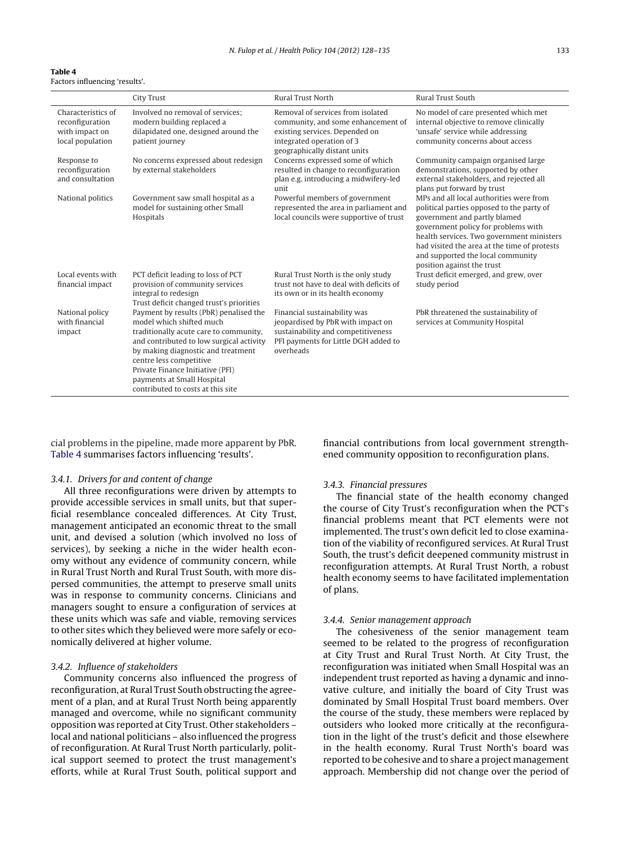#### **Table 4**

Factors influencing 'results'.

|                                                                             | City Trust                                                                                                                                                                                                                                                                                                                       | <b>Rural Trust North</b>                                                                                                                                               | <b>Rural Trust South</b>                                                                                                                                                                                                                                                                                                    |
|-----------------------------------------------------------------------------|----------------------------------------------------------------------------------------------------------------------------------------------------------------------------------------------------------------------------------------------------------------------------------------------------------------------------------|------------------------------------------------------------------------------------------------------------------------------------------------------------------------|-----------------------------------------------------------------------------------------------------------------------------------------------------------------------------------------------------------------------------------------------------------------------------------------------------------------------------|
| Characteristics of<br>reconfiguration<br>with impact on<br>local population | Involved no removal of services:<br>modern building replaced a<br>dilapidated one, designed around the<br>patient journey                                                                                                                                                                                                        | Removal of services from isolated<br>community, and some enhancement of<br>existing services. Depended on<br>integrated operation of 3<br>geographically distant units | No model of care presented which met<br>internal objective to remove clinically<br>'unsafe' service while addressing<br>community concerns about access                                                                                                                                                                     |
| Response to<br>reconfiguration<br>and consultation                          | No concerns expressed about redesign<br>by external stakeholders                                                                                                                                                                                                                                                                 | Concerns expressed some of which<br>resulted in change to reconfiguration<br>plan e.g. introducing a midwifery-led<br>unit                                             | Community campaign organised large<br>demonstrations, supported by other<br>external stakeholders, and rejected all<br>plans put forward by trust                                                                                                                                                                           |
| National politics                                                           | Government saw small hospital as a<br>model for sustaining other Small<br>Hospitals                                                                                                                                                                                                                                              | Powerful members of government<br>represented the area in parliament and<br>local councils were supportive of trust                                                    | MPs and all local authorities were from<br>political parties opposed to the party of<br>government and partly blamed<br>government policy for problems with<br>health services. Two government ministers<br>had visited the area at the time of protests<br>and supported the local community<br>position against the trust |
| Local events with<br>financial impact                                       | PCT deficit leading to loss of PCT<br>provision of community services<br>integral to redesign<br>Trust deficit changed trust's priorities                                                                                                                                                                                        | Rural Trust North is the only study<br>trust not have to deal with deficits of<br>its own or in its health economy                                                     | Trust deficit emerged, and grew, over<br>study period                                                                                                                                                                                                                                                                       |
| National policy<br>with financial<br>impact                                 | Payment by results (PbR) penalised the<br>model which shifted much<br>traditionally acute care to community,<br>and contributed to low surgical activity<br>by making diagnostic and treatment<br>centre less competitive<br>Private Finance Initiative (PFI)<br>payments at Small Hospital<br>contributed to costs at this site | Financial sustainability was<br>jeopardised by PbR with impact on<br>sustainability and competitiveness<br>PFI payments for Little DGH added to<br>overheads           | PbR threatened the sustainability of<br>services at Community Hospital                                                                                                                                                                                                                                                      |

cial problems in the pipeline, made more apparent by PbR. Table 4 summarises factors influencing 'results'.

#### 3.4.1. Drivers for and content of change

All three reconfigurations were driven by attempts to provide accessible services in small units, but that superficial resemblance concealed differences. At City Trust, management anticipated an economic threat to the small unit, and devised a solution (which involved no loss of services), by seeking a niche in the wider health economy without any evidence of community concern, while in Rural Trust North and Rural Trust South, with more dispersed communities, the attempt to preserve small units was in response to community concerns. Clinicians and managers sought to ensure a configuration of services at these units which was safe and viable, removing services to other sites which they believed were more safely or economically delivered at higher volume.

#### 3.4.2. Influence of stakeholders

Community concerns also influenced the progress of reconfiguration, at Rural Trust South obstructing the agreement of a plan, and at Rural Trust North being apparently managed and overcome, while no significant community opposition was reported at City Trust. Other stakeholders – local and national politicians – also influenced the progress of reconfiguration. At Rural Trust North particularly, political support seemed to protect the trust management's efforts, while at Rural Trust South, political support and

financial contributions from local government strengthened community opposition to reconfiguration plans.

### 3.4.3. Financial pressures

The financial state of the health economy changed the course of City Trust's reconfiguration when the PCT's financial problems meant that PCT elements were not implemented. The trust's own deficit led to close examination of the viability of reconfigured services. At Rural Trust South, the trust's deficit deepened community mistrust in reconfiguration attempts. At Rural Trust North, a robust health economy seems to have facilitated implementation of plans.

### 3.4.4. Senior management approach

The cohesiveness of the senior management team seemed to be related to the progress of reconfiguration at City Trust and Rural Trust North. At City Trust, the reconfiguration was initiated when Small Hospital was an independent trust reported as having a dynamic and innovative culture, and initially the board of City Trust was dominated by Small Hospital Trust board members. Over the course of the study, these members were replaced by outsiders who looked more critically at the reconfiguration in the light of the trust's deficit and those elsewhere in the health economy. Rural Trust North's board was reported to be cohesive and to share a project management approach. Membership did not change over the period of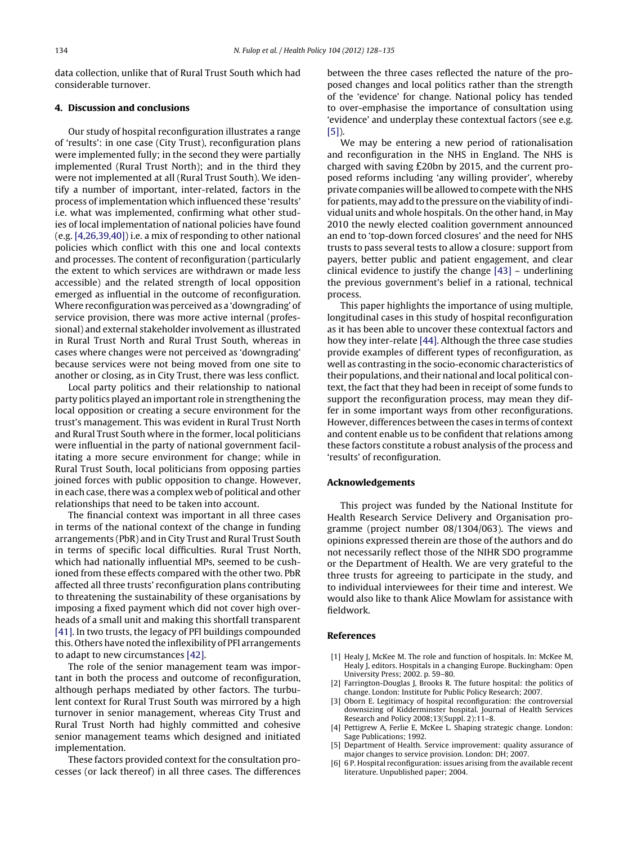<span id="page-6-0"></span>data collection, unlike that of Rural Trust South which had considerable turnover.

## **4. Discussion and conclusions**

Our study of hospital reconfiguration illustrates a range of 'results': in one case (City Trust), reconfiguration plans were implemented fully; in the second they were partially implemented (Rural Trust North); and in the third they were not implemented at all (Rural Trust South). We identify a number of important, inter-related, factors in the process of implementation which influenced these 'results' i.e. what was implemented, confirming what other studies of local implementation of national policies have found (e.g. [4,26,39,40]) i.e. a mix of responding to other national policies which conflict with this one and local contexts and processes. The content of reconfiguration (particularly the extent to which services are withdrawn or made less accessible) and the related strength of local opposition emerged as influential in the outcome of reconfiguration. Where reconfiguration was perceived as a 'downgrading' of service provision, there was more active internal (professional) and external stakeholder involvement as illustrated in Rural Trust North and Rural Trust South, whereas in cases where changes were not perceived as 'downgrading' because services were not being moved from one site to another or closing, as in City Trust, there was less conflict.

Local party politics and their relationship to national party politics played an important role in strengthening the local opposition or creating a secure environment for the trust's management. This was evident in Rural Trust North and Rural Trust South where in the former, local politicians were influential in the party of national government facilitating a more secure environment for change; while in Rural Trust South, local politicians from opposing parties joined forces with public opposition to change. However, in each case, there was a complex web of political and other relationships that need to be taken into account.

The financial context was important in all three cases in terms of the national context of the change in funding arrangements (PbR) and in City Trust and Rural Trust South in terms of specific local difficulties. Rural Trust North, which had nationally influential MPs, seemed to be cushioned from these effects compared with the other two. PbR affected all three trusts' reconfiguration plans contributing to threatening the sustainability of these organisations by imposing a fixed payment which did not cover high overheads of a small unit and making this shortfall transparent [\[41\].](#page-7-0) In two trusts, the legacy of PFI buildings compounded this. Others have noted the inflexibility of PFI arrangements to adapt to new circumstances [\[42\].](#page-7-0)

The role of the senior management team was important in both the process and outcome of reconfiguration, although perhaps mediated by other factors. The turbulent context for Rural Trust South was mirrored by a high turnover in senior management, whereas City Trust and Rural Trust North had highly committed and cohesive senior management teams which designed and initiated implementation.

These factors provided context for the consultation processes (or lack thereof) in all three cases. The differences between the three cases reflected the nature of the proposed changes and local politics rather than the strength of the 'evidence' for change. National policy has tended to over-emphasise the importance of consultation using 'evidence' and underplay these contextual factors (see e.g.  $[5]$ .

We may be entering a new period of rationalisation and reconfiguration in the NHS in England. The NHS is charged with saving £20bn by 2015, and the current proposed reforms including 'any willing provider', whereby private companies will be allowed to compete with the NHS for patients, may add to the pressure on the viability of individual units and whole hospitals. On the other hand, in May 2010 the newly elected coalition government announced an end to 'top-down forced closures' and the need for NHS trusts to pass several tests to allow a closure: support from payers, better public and patient engagement, and clear clinical evidence to justify the change [\[43\]](#page-7-0) – underlining the previous government's belief in a rational, technical process.

This paper highlights the importance of using multiple, longitudinal cases in this study of hospital reconfiguration as it has been able to uncover these contextual factors and how they inter-relate [\[44\].](#page-7-0) Although the three case studies provide examples of different types of reconfiguration, as well as contrasting in the socio-economic characteristics of their populations, and their national and local political context, the fact that they had been in receipt of some funds to support the reconfiguration process, may mean they differ in some important ways from other reconfigurations. However, differences between the cases in terms of context and content enable us to be confident that relations among these factors constitute a robust analysis of the process and 'results' of reconfiguration.

## **Acknowledgements**

This project was funded by the National Institute for Health Research Service Delivery and Organisation programme (project number 08/1304/063). The views and opinions expressed therein are those of the authors and do not necessarily reflect those of the NIHR SDO programme or the Department of Health. We are very grateful to the three trusts for agreeing to participate in the study, and to individual interviewees for their time and interest. We would also like to thank Alice Mowlam for assistance with fieldwork.

#### **References**

- [1] Healy J, McKee M. The role and function of hospitals. In: McKee M, Healy J, editors. Hospitals in a changing Europe. Buckingham: Open University Press; 2002. p. 59–80.
- [2] Farrington-Douglas J, Brooks R. The future hospital: the politics of change. London: Institute for Public Policy Research; 2007.
- [3] Oborn E. Legitimacy of hospital reconfiguration: the controversial downsizing of Kidderminster hospital. Journal of Health Services Research and Policy 2008;13(Suppl. 2):11–8.
- [4] Pettigrew A, Ferlie E, McKee L. Shaping strategic change. London: Sage Publications; 1992.
- [5] Department of Health. Service improvement: quality assurance of major changes to service provision. London: DH; 2007.
- [6] 6 P. Hospital reconfiguration: issues arising from the available recent literature. Unpublished paper; 2004.